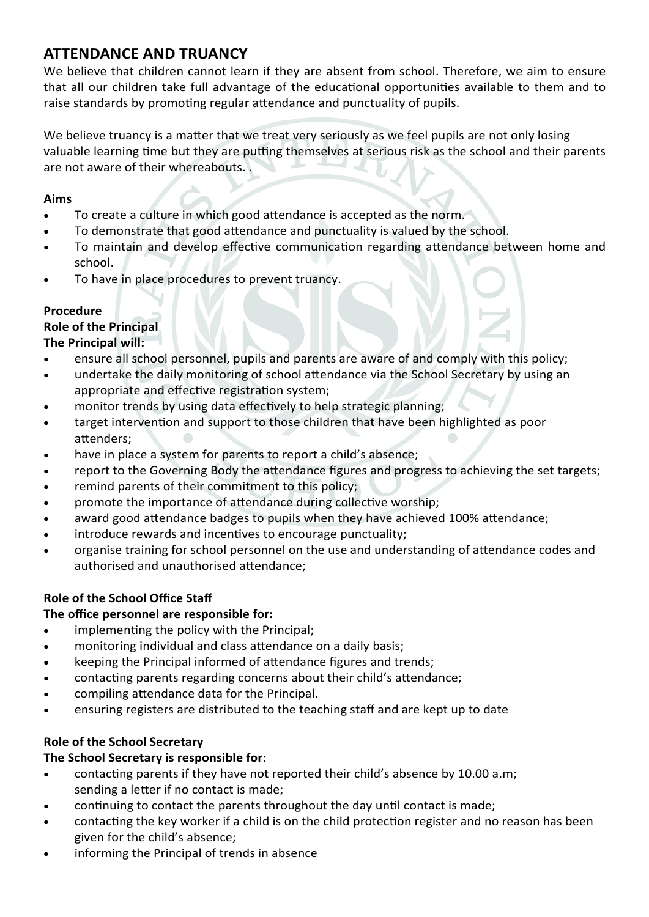# **ATTENDANCE AND TRUANCY**

We believe that children cannot learn if they are absent from school. Therefore, we aim to ensure that all our children take full advantage of the educational opportunities available to them and to raise standards by promoting regular attendance and punctuality of pupils.

We believe truancy is a matter that we treat very seriously as we feel pupils are not only losing valuable learning time but they are putting themselves at serious risk as the school and their parents are not aware of their whereabouts. .

## **Aims**

- To create a culture in which good attendance is accepted as the norm.
- To demonstrate that good attendance and punctuality is valued by the school.
- To maintain and develop effective communication regarding attendance between home and school.
- To have in place procedures to prevent truancy.

### **Procedure**

# **Role of the Principal**

# **The Principal will:**

- ensure all school personnel, pupils and parents are aware of and comply with this policy;
- undertake the daily monitoring of school attendance via the School Secretary by using an appropriate and effective registration system;
- monitor trends by using data effectively to help strategic planning;
- target intervention and support to those children that have been highlighted as poor attenders;
- have in place a system for parents to report a child's absence;
- report to the Governing Body the attendance figures and progress to achieving the set targets;
- remind parents of their commitment to this policy;
- promote the importance of attendance during collective worship;
- award good attendance badges to pupils when they have achieved 100% attendance;
- introduce rewards and incentives to encourage punctuality;
- organise training for school personnel on the use and understanding of attendance codes and authorised and unauthorised attendance;

# **Role of the School Office Staff**

# **The office personnel are responsible for:**

- implementing the policy with the Principal;
- monitoring individual and class attendance on a daily basis;
- keeping the Principal informed of attendance figures and trends;
- contacting parents regarding concerns about their child's attendance;
- compiling attendance data for the Principal.
- ensuring registers are distributed to the teaching staff and are kept up to date

# **Role of the School Secretary**

# **The School Secretary is responsible for:**

- contacting parents if they have not reported their child's absence by 10.00 a.m; sending a letter if no contact is made;
- continuing to contact the parents throughout the day until contact is made;
- contacting the key worker if a child is on the child protection register and no reason has been given for the child's absence;
- informing the Principal of trends in absence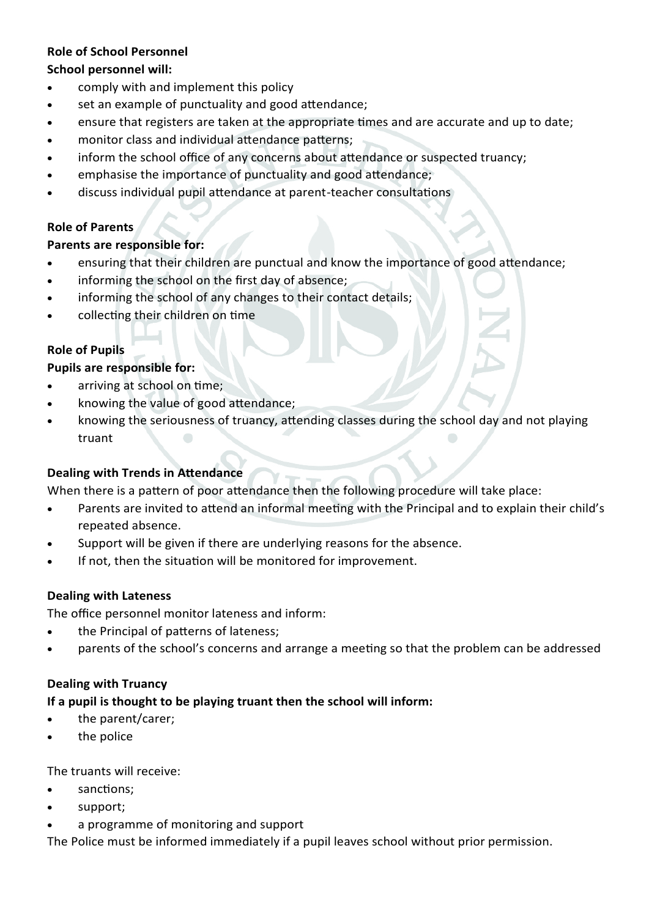## **Role of School Personnel**

### **School personnel will:**

- comply with and implement this policy
- set an example of punctuality and good attendance;
- ensure that registers are taken at the appropriate times and are accurate and up to date;
- monitor class and individual attendance patterns;
- inform the school office of any concerns about attendance or suspected truancy;
- emphasise the importance of punctuality and good attendance;
- discuss individual pupil attendance at parent-teacher consultations

### **Role of Parents**

### **Parents are responsible for:**

- ensuring that their children are punctual and know the importance of good attendance;
- informing the school on the first day of absence;
- informing the school of any changes to their contact details;
- collecting their children on time

# **Role of Pupils**

#### **Pupils are responsible for:**

- arriving at school on time;
- knowing the value of good attendance;
- knowing the seriousness of truancy, attending classes during the school day and not playing truant

#### **Dealing with Trends in Attendance**

When there is a pattern of poor attendance then the following procedure will take place:

- Parents are invited to attend an informal meeting with the Principal and to explain their child's repeated absence.
- Support will be given if there are underlying reasons for the absence.
- If not, then the situation will be monitored for improvement.

#### **Dealing with Lateness**

The office personnel monitor lateness and inform:

- the Principal of patterns of lateness;
- parents of the school's concerns and arrange a meeting so that the problem can be addressed

#### **Dealing with Truancy**

# **If a pupil is thought to be playing truant then the school will inform:**

- the parent/carer;
- the police

The truants will receive:

- sanctions;
- support;
- a programme of monitoring and support

The Police must be informed immediately if a pupil leaves school without prior permission.